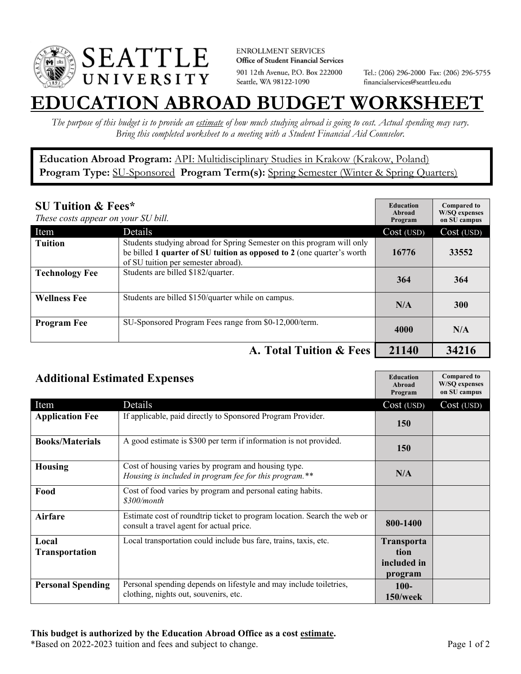

**ENROLLMENT SERVICES** Office of Student Financial Services 901 12th Avenue, P.O. Box 222000 Seattle, WA 98122-1090

Tel.: (206) 296-2000 Fax: (206) 296-5755 financialservices@seattleu.edu

## **EATION ABROAD BUDGET WORKSHEE**

*The purpose of this budget is to provide an estimate of how much studying abroad is going to cost. Actual spending may vary. Bring this completed worksheet to a meeting with a Student Financial Aid Counselor.* 

**Education Abroad Program:** API: Multidisciplinary Studies in Krakow (Krakow, Poland) Program Type: **SU-Sponsored** Program Term(s): **Spring Semester** (Winter & Spring Quarters)

| <b>SU Tuition &amp; Fees*</b><br>These costs appear on your SU bill. |                                                                                                                                                                                         | <b>Education</b><br>Abroad<br>Program | <b>Compared to</b><br><b>W/SO</b> expenses<br>on SU campus |
|----------------------------------------------------------------------|-----------------------------------------------------------------------------------------------------------------------------------------------------------------------------------------|---------------------------------------|------------------------------------------------------------|
| Item                                                                 | Details                                                                                                                                                                                 | Cost (USD)                            | Cost (USD)                                                 |
| <b>Tuition</b>                                                       | Students studying abroad for Spring Semester on this program will only<br>be billed 1 quarter of SU tuition as opposed to 2 (one quarter's worth<br>of SU tuition per semester abroad). | 16776                                 | 33552                                                      |
| <b>Technology Fee</b>                                                | Students are billed \$182/quarter.                                                                                                                                                      | 364                                   | 364                                                        |
| <b>Wellness Fee</b>                                                  | Students are billed \$150/quarter while on campus.                                                                                                                                      | N/A                                   | <b>300</b>                                                 |
| <b>Program Fee</b>                                                   | SU-Sponsored Program Fees range from \$0-12,000/term.                                                                                                                                   | 4000                                  | N/A                                                        |
|                                                                      | A. Total Tuition & Fees                                                                                                                                                                 | 21140                                 | 34216                                                      |

| <b>Additional Estimated Expenses</b> |                                                                                                                      | <b>Education</b><br>Abroad<br>Program               | <b>Compared to</b><br><b>W/SQ</b> expenses<br>on SU campus |
|--------------------------------------|----------------------------------------------------------------------------------------------------------------------|-----------------------------------------------------|------------------------------------------------------------|
| Item                                 | Details                                                                                                              | Cost (USD)                                          | Cost (USD)                                                 |
| <b>Application Fee</b>               | If applicable, paid directly to Sponsored Program Provider.                                                          | 150                                                 |                                                            |
| <b>Books/Materials</b>               | A good estimate is \$300 per term if information is not provided.                                                    | <b>150</b>                                          |                                                            |
| <b>Housing</b>                       | Cost of housing varies by program and housing type.<br>Housing is included in program fee for this program.**        | N/A                                                 |                                                            |
| Food                                 | Cost of food varies by program and personal eating habits.<br>\$300/month                                            |                                                     |                                                            |
| <b>Airfare</b>                       | Estimate cost of roundtrip ticket to program location. Search the web or<br>consult a travel agent for actual price. | 800-1400                                            |                                                            |
| Local<br><b>Transportation</b>       | Local transportation could include bus fare, trains, taxis, etc.                                                     | <b>Transporta</b><br>tion<br>included in<br>program |                                                            |
| <b>Personal Spending</b>             | Personal spending depends on lifestyle and may include toiletries,<br>clothing, nights out, souvenirs, etc.          | $100 -$<br>150/week                                 |                                                            |

\*Based on 2022-2023 tuition and fees and subject to change. Page 1 of 2